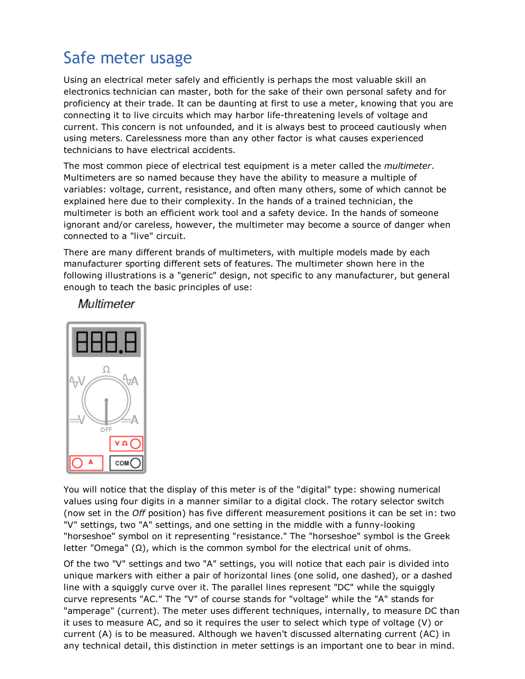## Safe meter usage

Using an electrical meter safely and efficiently is perhaps the most valuable skill an electronics technician can master, both for the sake of their own personal safety and for proficiency at their trade. It can be daunting at first to use a meter, knowing that you are connecting it to live circuits which may harbor life-threatening levels of voltage and current. This concern is not unfounded, and it is always best to proceed cautiously when using meters. Carelessness more than any other factor is what causes experienced technicians to have electrical accidents.

The most common piece of electrical test equipment is a meter called the *multimeter*. Multimeters are so named because they have the ability to measure a multiple of variables: voltage, current, resistance, and often many others, some of which cannot be explained here due to their complexity. In the hands of a trained technician, the multimeter is both an efficient work tool and a safety device. In the hands of someone ignorant and/or careless, however, the multimeter may become a source of danger when connected to a "live" circuit.

There are many different brands of multimeters, with multiple models made by each manufacturer sporting different sets of features. The multimeter shown here in the following illustrations is a "generic" design, not specific to any manufacturer, but general enough to teach the basic principles of use:



## Multimeter

You will notice that the display of this meter is of the "digital" type: showing numerical values using four digits in a manner similar to a digital clock. The rotary selector switch (now set in the *Off* position) has five different measurement positions it can be set in: two "V" settings, two "A" settings, and one setting in the middle with a funny-looking "horseshoe" symbol on it representing "resistance." The "horseshoe" symbol is the Greek letter "Omega" (Ω), which is the common symbol for the electrical unit of ohms.

Of the two "V" settings and two "A" settings, you will notice that each pair is divided into unique markers with either a pair of horizontal lines (one solid, one dashed), or a dashed line with a squiggly curve over it. The parallel lines represent "DC" while the squiggly curve represents "AC." The "V" of course stands for "voltage" while the "A" stands for "amperage" (current). The meter uses different techniques, internally, to measure DC than it uses to measure AC, and so it requires the user to select which type of voltage (V) or current (A) is to be measured. Although we haven't discussed alternating current (AC) in any technical detail, this distinction in meter settings is an important one to bear in mind.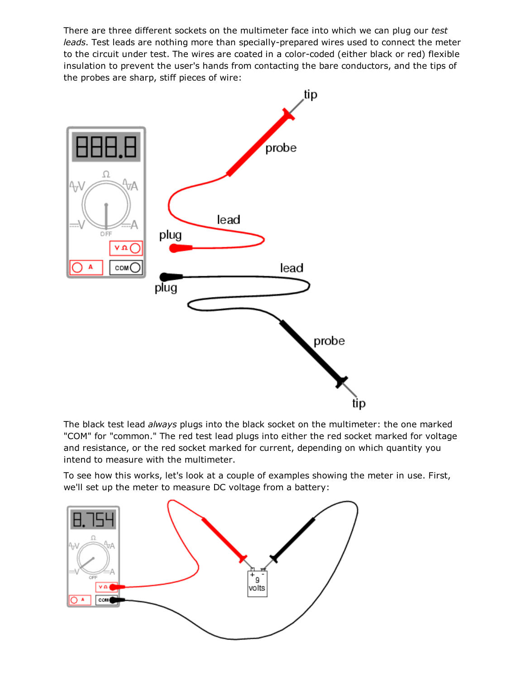There are three different sockets on the multimeter face into which we can plug our *test leads*. Test leads are nothing more than specially-prepared wires used to connect the meter to the circuit under test. The wires are coated in a color-coded (either black or red) flexible insulation to prevent the user's hands from contacting the bare conductors, and the tips of the probes are sharp, stiff pieces of wire:



The black test lead *always* plugs into the black socket on the multimeter: the one marked "COM" for "common." The red test lead plugs into either the red socket marked for voltage and resistance, or the red socket marked for current, depending on which quantity you intend to measure with the multimeter.

To see how this works, let's look at a couple of examples showing the meter in use. First, we'll set up the meter to measure DC voltage from a battery:

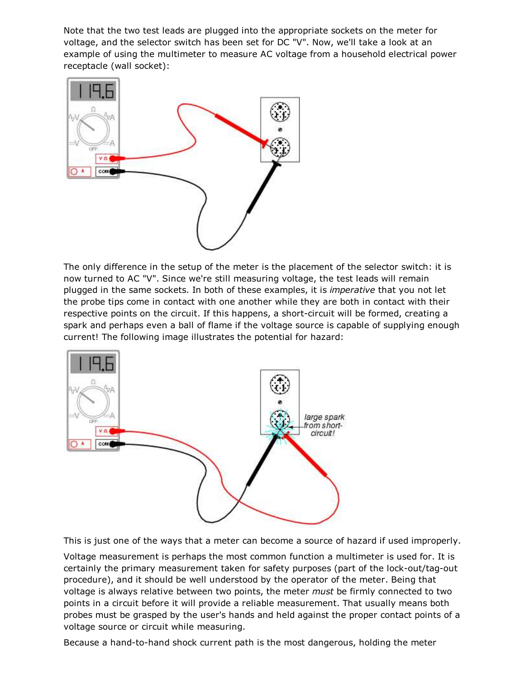Note that the two test leads are plugged into the appropriate sockets on the meter for voltage, and the selector switch has been set for DC "V". Now, we'll take a look at an example of using the multimeter to measure AC voltage from a household electrical power receptacle (wall socket):



The only difference in the setup of the meter is the placement of the selector switch: it is now turned to AC "V". Since we're still measuring voltage, the test leads will remain plugged in the same sockets. In both of these examples, it is *imperative* that you not let the probe tips come in contact with one another while they are both in contact with their respective points on the circuit. If this happens, a short-circuit will be formed, creating a spark and perhaps even a ball of flame if the voltage source is capable of supplying enough current! The following image illustrates the potential for hazard:



This is just one of the ways that a meter can become a source of hazard if used improperly.

Voltage measurement is perhaps the most common function a multimeter is used for. It is certainly the primary measurement taken for safety purposes (part of the lock-out/tag-out procedure), and it should be well understood by the operator of the meter. Being that voltage is always relative between two points, the meter *must* be firmly connected to two points in a circuit before it will provide a reliable measurement. That usually means both probes must be grasped by the user's hands and held against the proper contact points of a voltage source or circuit while measuring.

Because a hand-to-hand shock current path is the most dangerous, holding the meter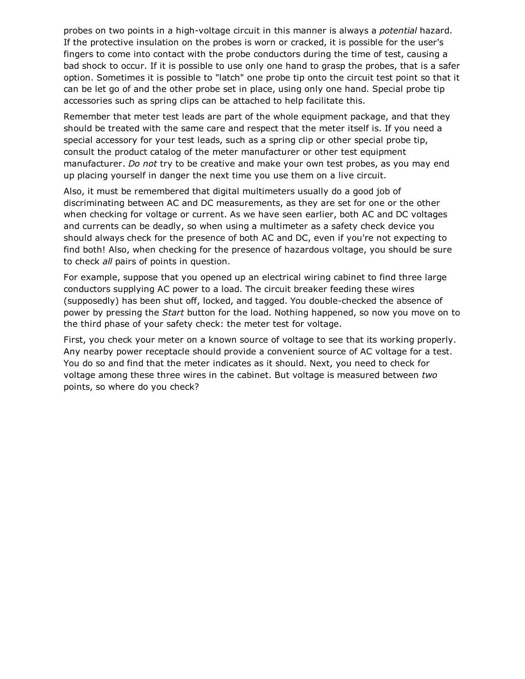probes on two points in a high-voltage circuit in this manner is always a *potential* hazard. If the protective insulation on the probes is worn or cracked, it is possible for the user's fingers to come into contact with the probe conductors during the time of test, causing a bad shock to occur. If it is possible to use only one hand to grasp the probes, that is a safer option. Sometimes it is possible to "latch" one probe tip onto the circuit test point so that it can be let go of and the other probe set in place, using only one hand. Special probe tip accessories such as spring clips can be attached to help facilitate this.

Remember that meter test leads are part of the whole equipment package, and that they should be treated with the same care and respect that the meter itself is. If you need a special accessory for your test leads, such as a spring clip or other special probe tip, consult the product catalog of the meter manufacturer or other test equipment manufacturer. *Do not* try to be creative and make your own test probes, as you may end up placing yourself in danger the next time you use them on a live circuit.

Also, it must be remembered that digital multimeters usually do a good job of discriminating between AC and DC measurements, as they are set for one or the other when checking for voltage or current. As we have seen earlier, both AC and DC voltages and currents can be deadly, so when using a multimeter as a safety check device you should always check for the presence of both AC and DC, even if you're not expecting to find both! Also, when checking for the presence of hazardous voltage, you should be sure to check *all* pairs of points in question.

For example, suppose that you opened up an electrical wiring cabinet to find three large conductors supplying AC power to a load. The circuit breaker feeding these wires (supposedly) has been shut off, locked, and tagged. You double-checked the absence of power by pressing the *Start* button for the load. Nothing happened, so now you move on to the third phase of your safety check: the meter test for voltage.

First, you check your meter on a known source of voltage to see that its working properly. Any nearby power receptacle should provide a convenient source of AC voltage for a test. You do so and find that the meter indicates as it should. Next, you need to check for voltage among these three wires in the cabinet. But voltage is measured between *two* points, so where do you check?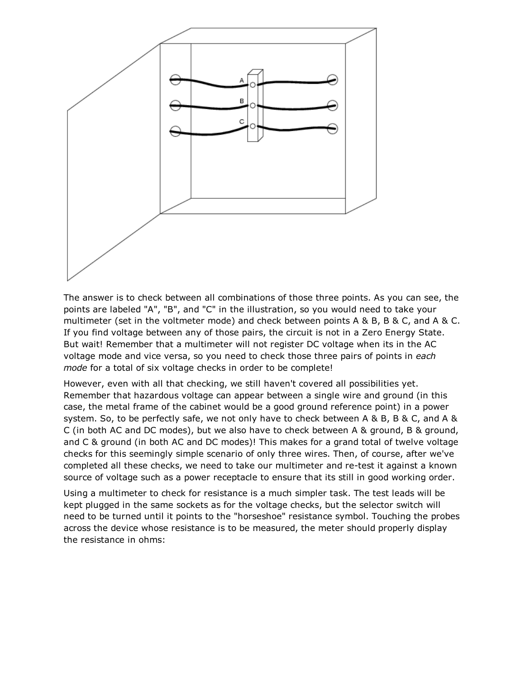

The answer is to check between all combinations of those three points. As you can see, the points are labeled "A", "B", and "C" in the illustration, so you would need to take your multimeter (set in the voltmeter mode) and check between points A & B, B & C, and A & C. If you find voltage between any of those pairs, the circuit is not in a Zero Energy State. But wait! Remember that a multimeter will not register DC voltage when its in the AC voltage mode and vice versa, so you need to check those three pairs of points in *each mode* for a total of six voltage checks in order to be complete!

However, even with all that checking, we still haven't covered all possibilities yet. Remember that hazardous voltage can appear between a single wire and ground (in this case, the metal frame of the cabinet would be a good ground reference point) in a power system. So, to be perfectly safe, we not only have to check between A & B, B & C, and A & C (in both AC and DC modes), but we also have to check between A & ground, B & ground, and C & ground (in both AC and DC modes)! This makes for a grand total of twelve voltage checks for this seemingly simple scenario of only three wires. Then, of course, after we've completed all these checks, we need to take our multimeter and re-test it against a known source of voltage such as a power receptacle to ensure that its still in good working order.

Using a multimeter to check for resistance is a much simpler task. The test leads will be kept plugged in the same sockets as for the voltage checks, but the selector switch will need to be turned until it points to the "horseshoe" resistance symbol. Touching the probes across the device whose resistance is to be measured, the meter should properly display the resistance in ohms: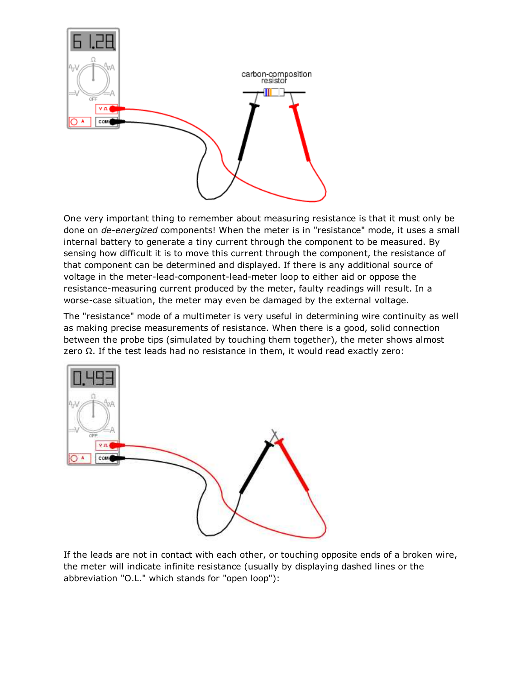

One very important thing to remember about measuring resistance is that it must only be done on *de-energized* components! When the meter is in "resistance" mode, it uses a small internal battery to generate a tiny current through the component to be measured. By sensing how difficult it is to move this current through the component, the resistance of that component can be determined and displayed. If there is any additional source of voltage in the meter-lead-component-lead-meter loop to either aid or oppose the resistance-measuring current produced by the meter, faulty readings will result. In a worse-case situation, the meter may even be damaged by the external voltage.

The "resistance" mode of a multimeter is very useful in determining wire continuity as well as making precise measurements of resistance. When there is a good, solid connection between the probe tips (simulated by touching them together), the meter shows almost zero Ω. If the test leads had no resistance in them, it would read exactly zero:



If the leads are not in contact with each other, or touching opposite ends of a broken wire, the meter will indicate infinite resistance (usually by displaying dashed lines or the abbreviation "O.L." which stands for "open loop"):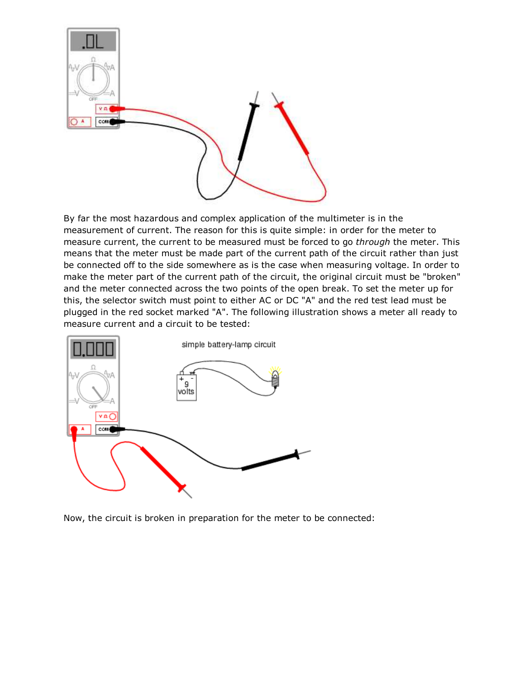

By far the most hazardous and complex application of the multimeter is in the measurement of current. The reason for this is quite simple: in order for the meter to measure current, the current to be measured must be forced to go *through* the meter. This means that the meter must be made part of the current path of the circuit rather than just be connected off to the side somewhere as is the case when measuring voltage. In order to make the meter part of the current path of the circuit, the original circuit must be "broken" and the meter connected across the two points of the open break. To set the meter up for this, the selector switch must point to either AC or DC "A" and the red test lead must be plugged in the red socket marked "A". The following illustration shows a meter all ready to measure current and a circuit to be tested:



Now, the circuit is broken in preparation for the meter to be connected: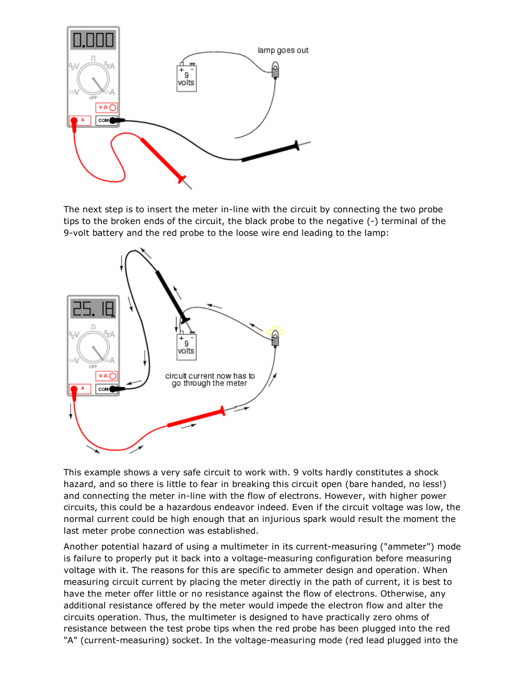

The next step is to insert the meter in-line with the circuit by connecting the two probe tips to the broken ends of the circuit, the black probe to the negative (-) terminal of the 9-volt battery and the red probe to the loose wire end leading to the lamp:



This example shows a very safe circuit to work with. 9 volts hardly constitutes a shock hazard, and so there is little to fear in breaking this circuit open (bare handed, no less!) and connecting the meter in-line with the flow of electrons. However, with higher power circuits, this could be a hazardous endeavor indeed. Even if the circuit voltage was low, the normal current could be high enough that an injurious spark would result the moment the last meter probe connection was established.

Another potential hazard of using a multimeter in its current-measuring ("ammeter") mode is failure to properly put it back into a voltage-measuring configuration before measuring voltage with it. The reasons for this are specific to ammeter design and operation. When measuring circuit current by placing the meter directly in the path of current, it is best to have the meter offer little or no resistance against the flow of electrons. Otherwise, any additional resistance offered by the meter would impede the electron flow and alter the circuits operation. Thus, the multimeter is designed to have practically zero ohms of resistance between the test probe tips when the red probe has been plugged into the red "A" (current-measuring) socket. In the voltage-measuring mode (red lead plugged into the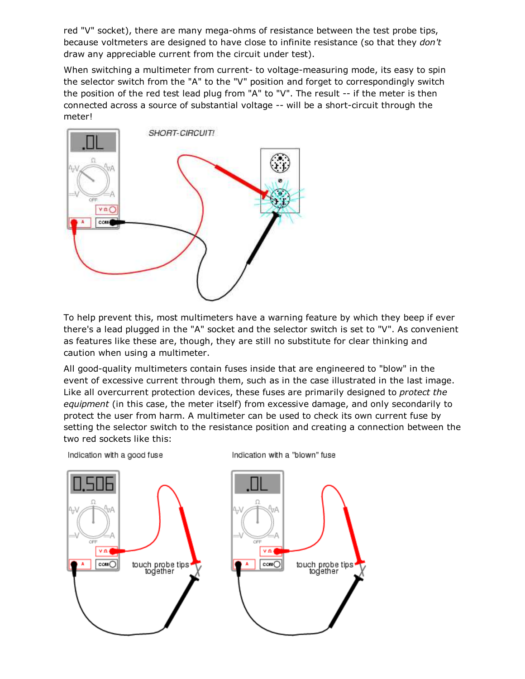red "V" socket), there are many mega-ohms of resistance between the test probe tips, because voltmeters are designed to have close to infinite resistance (so that they *don't* draw any appreciable current from the circuit under test).

When switching a multimeter from current- to voltage-measuring mode, its easy to spin the selector switch from the "A" to the "V" position and forget to correspondingly switch the position of the red test lead plug from "A" to "V". The result -- if the meter is then connected across a source of substantial voltage -- will be a short-circuit through the meter!



To help prevent this, most multimeters have a warning feature by which they beep if ever there's a lead plugged in the "A" socket and the selector switch is set to "V". As convenient as features like these are, though, they are still no substitute for clear thinking and caution when using a multimeter.

All good-quality multimeters contain fuses inside that are engineered to "blow" in the event of excessive current through them, such as in the case illustrated in the last image. Like all overcurrent protection devices, these fuses are primarily designed to *protect the equipment* (in this case, the meter itself) from excessive damage, and only secondarily to protect the user from harm. A multimeter can be used to check its own current fuse by setting the selector switch to the resistance position and creating a connection between the two red sockets like this:



Indication with a "blown" fuse